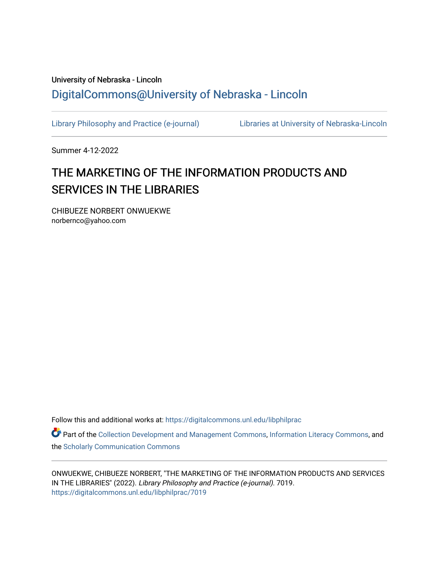# University of Nebraska - Lincoln [DigitalCommons@University of Nebraska - Lincoln](https://digitalcommons.unl.edu/)

[Library Philosophy and Practice \(e-journal\)](https://digitalcommons.unl.edu/libphilprac) [Libraries at University of Nebraska-Lincoln](https://digitalcommons.unl.edu/libraries) 

Summer 4-12-2022

# THE MARKETING OF THE INFORMATION PRODUCTS AND SERVICES IN THE LIBRARIES

CHIBUEZE NORBERT ONWUEKWE norbernco@yahoo.com

Follow this and additional works at: [https://digitalcommons.unl.edu/libphilprac](https://digitalcommons.unl.edu/libphilprac?utm_source=digitalcommons.unl.edu%2Flibphilprac%2F7019&utm_medium=PDF&utm_campaign=PDFCoverPages) 

Part of the [Collection Development and Management Commons,](http://network.bepress.com/hgg/discipline/1271?utm_source=digitalcommons.unl.edu%2Flibphilprac%2F7019&utm_medium=PDF&utm_campaign=PDFCoverPages) [Information Literacy Commons](http://network.bepress.com/hgg/discipline/1243?utm_source=digitalcommons.unl.edu%2Flibphilprac%2F7019&utm_medium=PDF&utm_campaign=PDFCoverPages), and the [Scholarly Communication Commons](http://network.bepress.com/hgg/discipline/1272?utm_source=digitalcommons.unl.edu%2Flibphilprac%2F7019&utm_medium=PDF&utm_campaign=PDFCoverPages)

ONWUEKWE, CHIBUEZE NORBERT, "THE MARKETING OF THE INFORMATION PRODUCTS AND SERVICES IN THE LIBRARIES" (2022). Library Philosophy and Practice (e-journal). 7019. [https://digitalcommons.unl.edu/libphilprac/7019](https://digitalcommons.unl.edu/libphilprac/7019?utm_source=digitalcommons.unl.edu%2Flibphilprac%2F7019&utm_medium=PDF&utm_campaign=PDFCoverPages)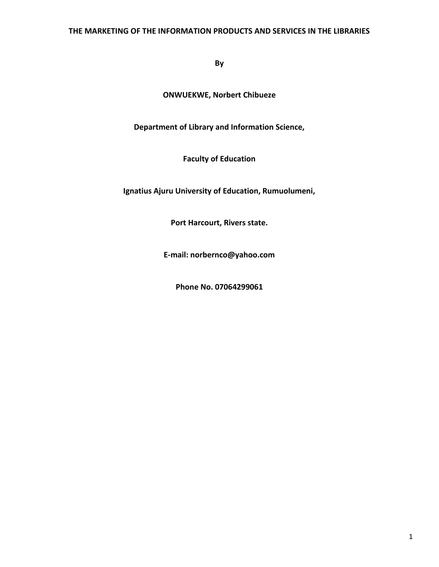## **THE MARKETING OF THE INFORMATION PRODUCTS AND SERVICES IN THE LIBRARIES**

**By**

**ONWUEKWE, Norbert Chibueze**

**Department of Library and Information Science,**

**Faculty of Education**

**Ignatius Ajuru University of Education, Rumuolumeni,**

**Port Harcourt, Rivers state.**

**E-mail: norbernco@yahoo.com**

**Phone No. 07064299061**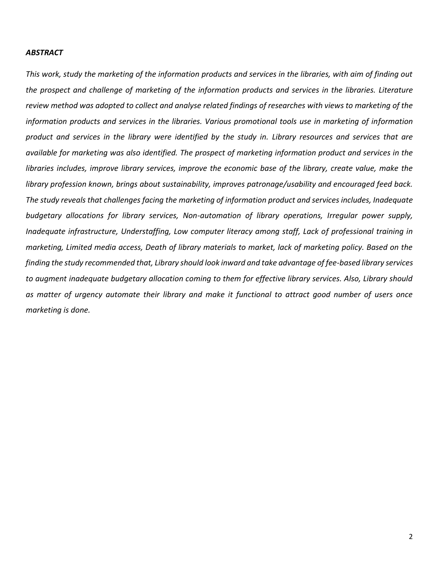#### *ABSTRACT*

*This work, study the marketing of the information products and services in the libraries, with aim of finding out the prospect and challenge of marketing of the information products and services in the libraries. Literature review method was adopted to collect and analyse related findings of researches with views to marketing of the information products and services in the libraries. Various promotional tools use in marketing of information product and services in the library were identified by the study in. Library resources and services that are available for marketing was also identified. The prospect of marketing information product and services in the libraries includes, improve library services, improve the economic base of the library, create value, make the library profession known, brings about sustainability, improves patronage/usability and encouraged feed back. The study reveals that challenges facing the marketing of information product and services includes, Inadequate budgetary allocations for library services, Non-automation of library operations, Irregular power supply, Inadequate infrastructure, Understaffing, Low computer literacy among staff, Lack of professional training in marketing, Limited media access, Death of library materials to market, lack of marketing policy. Based on the finding the study recommended that, Library should look inward and take advantage of fee-based library services to augment inadequate budgetary allocation coming to them for effective library services. Also, Library should as matter of urgency automate their library and make it functional to attract good number of users once marketing is done.*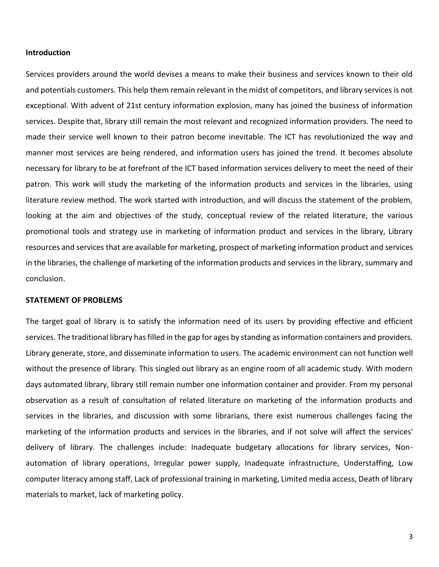#### **Introduction**

Services providers around the world devises a means to make their business and services known to their old and potentials customers. This help them remain relevant in the midst of competitors, and library services is not exceptional. With advent of 21st century information explosion, many has joined the business of information services. Despite that, library still remain the most relevant and recognized information providers. The need to made their service well known to their patron become inevitable. The ICT has revolutionized the way and manner most services are being rendered, and information users has joined the trend. It becomes absolute necessary for library to be at forefront of the ICT based information services delivery to meet the need of their patron. This work will study the marketing of the information products and services in the libraries, using literature review method. The work started with introduction, and will discuss the statement of the problem, looking at the aim and objectives of the study, conceptual review of the related literature, the various promotional tools and strategy use in marketing of information product and services in the library, Library resources and services that are available for marketing, prospect of marketing information product and services in the libraries, the challenge of marketing of the information products and services in the library, summary and conclusion.

#### **STATEMENT OF PROBLEMS**

The target goal of library is to satisfy the information need of its users by providing effective and efficient services. The traditional library has filled in the gap for ages by standing as information containers and providers. Library generate, store, and disseminate information to users. The academic environment can not function well without the presence of library. This singled out library as an engine room of all academic study. With modern days automated library, library still remain number one information container and provider. From my personal observation as a result of consultation of related literature on marketing of the information products and services in the libraries, and discussion with some librarians, there exist numerous challenges facing the marketing of the information products and services in the libraries, and if not solve will affect the services' delivery of library. The challenges include: Inadequate budgetary allocations for library services, Nonautomation of library operations, Irregular power supply, Inadequate infrastructure, Understaffing, Low computer literacy among staff, Lack of professional training in marketing, Limited media access, Death of library materials to market, lack of marketing policy.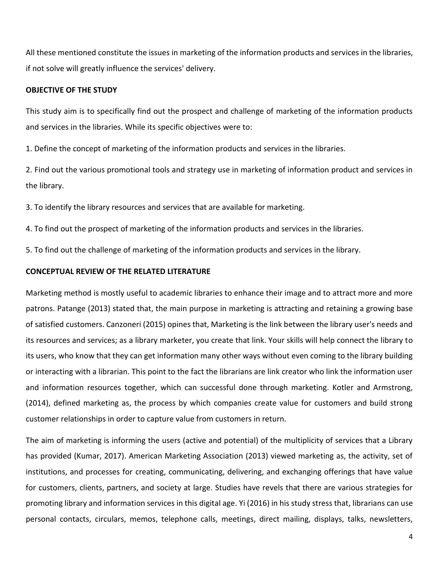All these mentioned constitute the issues in marketing of the information products and services in the libraries, if not solve will greatly influence the services' delivery.

#### **OBJECTIVE OF THE STUDY**

This study aim is to specifically find out the prospect and challenge of marketing of the information products and services in the libraries. While its specific objectives were to:

1. Define the concept of marketing of the information products and services in the libraries.

2. Find out the various promotional tools and strategy use in marketing of information product and services in the library.

3. To identify the library resources and services that are available for marketing.

4. To find out the prospect of marketing of the information products and services in the libraries.

5. To find out the challenge of marketing of the information products and services in the library.

### **CONCEPTUAL REVIEW OF THE RELATED LITERATURE**

Marketing method is mostly useful to academic libraries to enhance their image and to attract more and more patrons. Patange (2013) stated that, the main purpose in marketing is attracting and retaining a growing base of satisfied customers. Canzoneri (2015) opines that, Marketing is the link between the library user's needs and its resources and services; as a library marketer, you create that link. Your skills will help connect the library to its users, who know that they can get information many other ways without even coming to the library building or interacting with a librarian. This point to the fact the librarians are link creator who link the information user and information resources together, which can successful done through marketing. Kotler and Armstrong, (2014), defined marketing as, the process by which companies create value for customers and build strong customer relationships in order to capture value from customers in return.

The aim of marketing is informing the users (active and potential) of the multiplicity of services that a Library has provided (Kumar, 2017). American Marketing Association (2013) viewed marketing as, the activity, set of institutions, and processes for creating, communicating, delivering, and exchanging offerings that have value for customers, clients, partners, and society at large. Studies have revels that there are various strategies for promoting library and information services in this digital age. Yi (2016) in his study stress that, librarians can use personal contacts, circulars, memos, telephone calls, meetings, direct mailing, displays, talks, newsletters,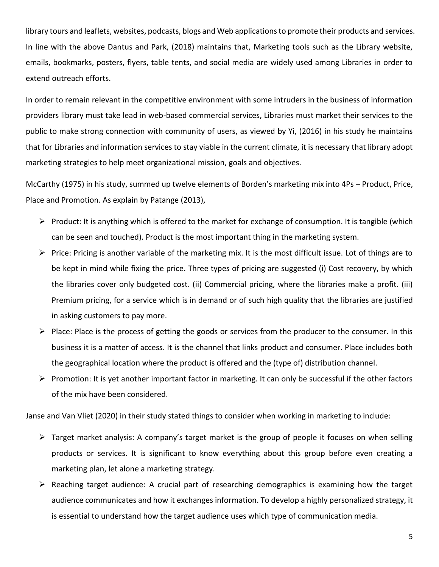library tours and leaflets, websites, podcasts, blogs and Web applications to promote their products and services. In line with the above Dantus and Park, (2018) maintains that, Marketing tools such as the Library website, emails, bookmarks, posters, flyers, table tents, and social media are widely used among Libraries in order to extend outreach efforts.

In order to remain relevant in the competitive environment with some intruders in the business of information providers library must take lead in web-based commercial services, Libraries must market their services to the public to make strong connection with community of users, as viewed by Yi, (2016) in his study he maintains that for Libraries and information services to stay viable in the current climate, it is necessary that library adopt marketing strategies to help meet organizational mission, goals and objectives.

McCarthy (1975) in his study, summed up twelve elements of Borden's marketing mix into 4Ps – Product, Price, Place and Promotion. As explain by Patange (2013),

- $\triangleright$  Product: It is anything which is offered to the market for exchange of consumption. It is tangible (which can be seen and touched). Product is the most important thing in the marketing system.
- ➢ Price: Pricing is another variable of the marketing mix. It is the most difficult issue. Lot of things are to be kept in mind while fixing the price. Three types of pricing are suggested (i) Cost recovery, by which the libraries cover only budgeted cost. (ii) Commercial pricing, where the libraries make a profit. (iii) Premium pricing, for a service which is in demand or of such high quality that the libraries are justified in asking customers to pay more.
- $\triangleright$  Place: Place is the process of getting the goods or services from the producer to the consumer. In this business it is a matter of access. It is the channel that links product and consumer. Place includes both the geographical location where the product is offered and the (type of) distribution channel.
- ➢ Promotion: It is yet another important factor in marketing. It can only be successful if the other factors of the mix have been considered.

Janse and Van Vliet (2020) in their study stated things to consider when working in marketing to include:

- $\triangleright$  Target market analysis: A company's target market is the group of people it focuses on when selling products or services. It is significant to know everything about this group before even creating a marketing plan, let alone a marketing strategy.
- $\triangleright$  Reaching target audience: A crucial part of researching demographics is examining how the target audience communicates and how it exchanges information. To develop a highly personalized strategy, it is essential to understand how the target audience uses which type of communication media.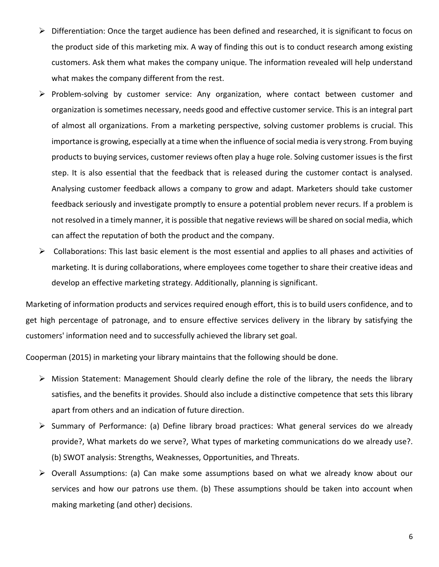- ➢ Differentiation: Once the target audience has been defined and researched, it is significant to focus on the product side of this marketing mix. A way of finding this out is to conduct research among existing customers. Ask them what makes the company unique. The information revealed will help understand what makes the company different from the rest.
- ➢ Problem-solving by customer service: Any organization, where contact between customer and organization is sometimes necessary, needs good and effective customer service. This is an integral part of almost all organizations. From a marketing perspective, solving customer problems is crucial. This importance is growing, especially at a time when the influence of social media is very strong. From buying products to buying services, customer reviews often play a huge role. Solving customer issues is the first step. It is also essential that the feedback that is released during the customer contact is analysed. Analysing customer feedback allows a company to grow and adapt. Marketers should take customer feedback seriously and investigate promptly to ensure a potential problem never recurs. If a problem is not resolved in a timely manner, it is possible that negative reviews will be shared on social media, which can affect the reputation of both the product and the company.
- $\triangleright$  Collaborations: This last basic element is the most essential and applies to all phases and activities of marketing. It is during collaborations, where employees come together to share their creative ideas and develop an effective marketing strategy. Additionally, planning is significant.

Marketing of information products and services required enough effort, this is to build users confidence, and to get high percentage of patronage, and to ensure effective services delivery in the library by satisfying the customers' information need and to successfully achieved the library set goal.

Cooperman (2015) in marketing your library maintains that the following should be done.

- ➢ Mission Statement: Management Should clearly define the role of the library, the needs the library satisfies, and the benefits it provides. Should also include a distinctive competence that sets this library apart from others and an indication of future direction.
- ➢ Summary of Performance: (a) Define library broad practices: What general services do we already provide?, What markets do we serve?, What types of marketing communications do we already use?. (b) SWOT analysis: Strengths, Weaknesses, Opportunities, and Threats.
- ➢ Overall Assumptions: (a) Can make some assumptions based on what we already know about our services and how our patrons use them. (b) These assumptions should be taken into account when making marketing (and other) decisions.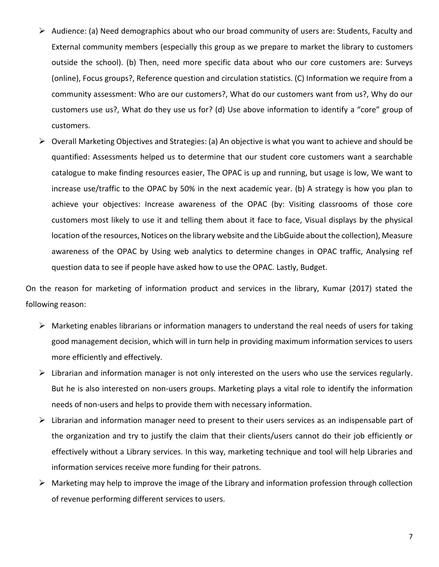- ➢ Audience: (a) Need demographics about who our broad community of users are: Students, Faculty and External community members (especially this group as we prepare to market the library to customers outside the school). (b) Then, need more specific data about who our core customers are: Surveys (online), Focus groups?, Reference question and circulation statistics. (C) Information we require from a community assessment: Who are our customers?, What do our customers want from us?, Why do our customers use us?, What do they use us for? (d) Use above information to identify a "core" group of customers.
- ➢ Overall Marketing Objectives and Strategies: (a) An objective is what you want to achieve and should be quantified: Assessments helped us to determine that our student core customers want a searchable catalogue to make finding resources easier, The OPAC is up and running, but usage is low, We want to increase use/traffic to the OPAC by 50% in the next academic year. (b) A strategy is how you plan to achieve your objectives: Increase awareness of the OPAC (by: Visiting classrooms of those core customers most likely to use it and telling them about it face to face, Visual displays by the physical location of the resources, Notices on the library website and the LibGuide about the collection), Measure awareness of the OPAC by Using web analytics to determine changes in OPAC traffic, Analysing ref question data to see if people have asked how to use the OPAC. Lastly, Budget.

On the reason for marketing of information product and services in the library, Kumar (2017) stated the following reason:

- ➢ Marketing enables librarians or information managers to understand the real needs of users for taking good management decision, which will in turn help in providing maximum information services to users more efficiently and effectively.
- ➢ Librarian and information manager is not only interested on the users who use the services regularly. But he is also interested on non-users groups. Marketing plays a vital role to identify the information needs of non-users and helps to provide them with necessary information.
- ➢ Librarian and information manager need to present to their users services as an indispensable part of the organization and try to justify the claim that their clients/users cannot do their job efficiently or effectively without a Library services. In this way, marketing technique and tool will help Libraries and information services receive more funding for their patrons.
- ➢ Marketing may help to improve the image of the Library and information profession through collection of revenue performing different services to users.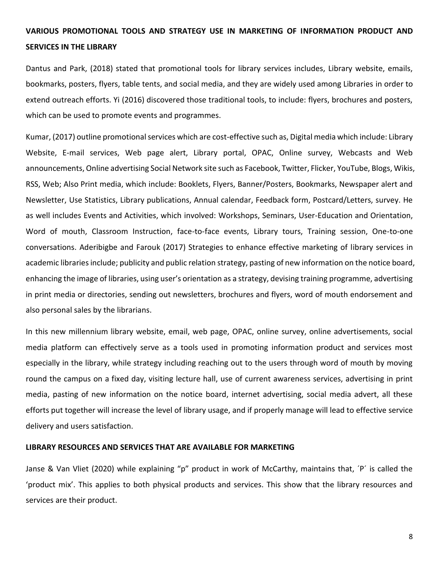# **VARIOUS PROMOTIONAL TOOLS AND STRATEGY USE IN MARKETING OF INFORMATION PRODUCT AND SERVICES IN THE LIBRARY**

Dantus and Park, (2018) stated that promotional tools for library services includes, Library website, emails, bookmarks, posters, flyers, table tents, and social media, and they are widely used among Libraries in order to extend outreach efforts. Yi (2016) discovered those traditional tools, to include: flyers, brochures and posters, which can be used to promote events and programmes.

Kumar, (2017) outline promotional services which are cost-effective such as, Digital media which include: Library Website, E-mail services, Web page alert, Library portal, OPAC, Online survey, Webcasts and Web announcements, Online advertising Social Network site such as Facebook, Twitter, Flicker, YouTube, Blogs, Wikis, RSS, Web; Also Print media, which include: Booklets, Flyers, Banner/Posters, Bookmarks, Newspaper alert and Newsletter, Use Statistics, Library publications, Annual calendar, Feedback form, Postcard/Letters, survey. He as well includes Events and Activities, which involved: Workshops, Seminars, User-Education and Orientation, Word of mouth, Classroom Instruction, face-to-face events, Library tours, Training session, One-to-one conversations. Aderibigbe and Farouk (2017) Strategies to enhance effective marketing of library services in academic libraries include; publicity and public relation strategy, pasting of new information on the notice board, enhancing the image of libraries, using user's orientation as a strategy, devising training programme, advertising in print media or directories, sending out newsletters, brochures and flyers, word of mouth endorsement and also personal sales by the librarians.

In this new millennium library website, email, web page, OPAC, online survey, online advertisements, social media platform can effectively serve as a tools used in promoting information product and services most especially in the library, while strategy including reaching out to the users through word of mouth by moving round the campus on a fixed day, visiting lecture hall, use of current awareness services, advertising in print media, pasting of new information on the notice board, internet advertising, social media advert, all these efforts put together will increase the level of library usage, and if properly manage will lead to effective service delivery and users satisfaction.

#### **LIBRARY RESOURCES AND SERVICES THAT ARE AVAILABLE FOR MARKETING**

Janse & Van Vliet (2020) while explaining "p" product in work of McCarthy, maintains that, ´P´ is called the 'product mix'. This applies to both physical products and services. This show that the library resources and services are their product.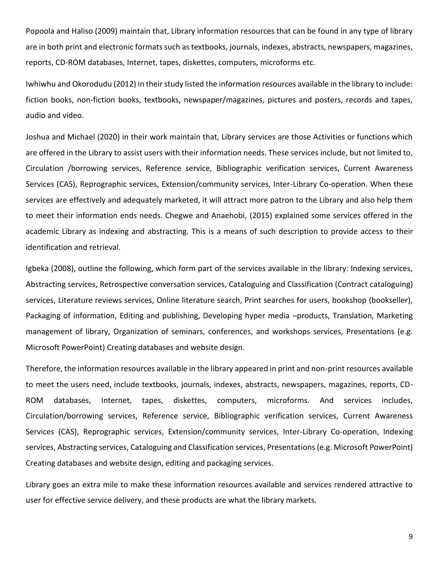Popoola and Haliso (2009) maintain that, Library information resources that can be found in any type of library are in both print and electronic formats such as textbooks, journals, indexes, abstracts, newspapers, magazines, reports, CD-ROM databases, Internet, tapes, diskettes, computers, microforms etc.

Iwhiwhu and Okorodudu (2012) in their study listed the information resources available in the library to include: fiction books, non-fiction books, textbooks, newspaper/magazines, pictures and posters, records and tapes, audio and video.

Joshua and Michael (2020) in their work maintain that, Library services are those Activities or functions which are offered in the Library to assist users with their information needs. These services include, but not limited to, Circulation /borrowing services, Reference service, Bibliographic verification services, Current Awareness Services (CAS), Reprographic services, Extension/community services, Inter-Library Co-operation. When these services are effectively and adequately marketed, it will attract more patron to the Library and also help them to meet their information ends needs. Chegwe and Anaehobi, (2015) explained some services offered in the academic Library as indexing and abstracting. This is a means of such description to provide access to their identification and retrieval.

Igbeka (2008), outline the following, which form part of the services available in the library: Indexing services, Abstracting services, Retrospective conversation services, Cataloguing and Classification (Contract cataloguing) services, Literature reviews services, Online literature search, Print searches for users, bookshop (bookseller), Packaging of information, Editing and publishing, Developing hyper media –products, Translation, Marketing management of library, Organization of seminars, conferences, and workshops services, Presentations (e.g. Microsoft PowerPoint) Creating databases and website design.

Therefore, the information resources available in the library appeared in print and non-print resources available to meet the users need, include textbooks, journals, indexes, abstracts, newspapers, magazines, reports, CD-ROM databases, Internet, tapes, diskettes, computers, microforms. And services includes, Circulation/borrowing services, Reference service, Bibliographic verification services, Current Awareness Services (CAS), Reprographic services, Extension/community services, Inter-Library Co-operation, Indexing services, Abstracting services, Cataloguing and Classification services, Presentations (e.g. Microsoft PowerPoint) Creating databases and website design, editing and packaging services.

Library goes an extra mile to make these information resources available and services rendered attractive to user for effective service delivery, and these products are what the library markets.

9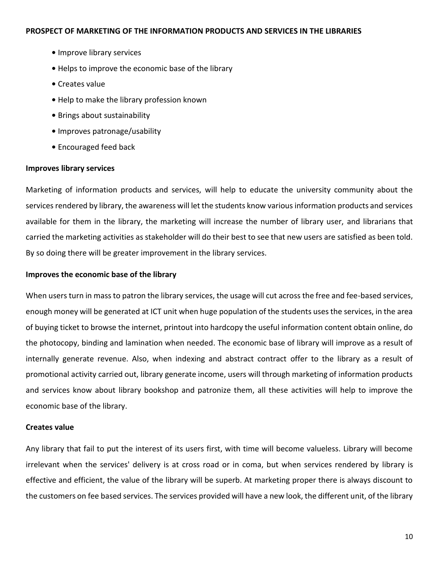- **•** Improve library services
- Helps to improve the economic base of the library
- Creates value
- Help to make the library profession known
- **•** Brings about sustainability
- **•** Improves patronage/usability
- Encouraged feed back

#### **Improves library services**

Marketing of information products and services, will help to educate the university community about the services rendered by library, the awareness will let the students know various information products and services available for them in the library, the marketing will increase the number of library user, and librarians that carried the marketing activities as stakeholder will do their best to see that new users are satisfied as been told. By so doing there will be greater improvement in the library services.

#### **Improves the economic base of the library**

When users turn in mass to patron the library services, the usage will cut across the free and fee-based services, enough money will be generated at ICT unit when huge population of the students uses the services, in the area of buying ticket to browse the internet, printout into hardcopy the useful information content obtain online, do the photocopy, binding and lamination when needed. The economic base of library will improve as a result of internally generate revenue. Also, when indexing and abstract contract offer to the library as a result of promotional activity carried out, library generate income, users will through marketing of information products and services know about library bookshop and patronize them, all these activities will help to improve the economic base of the library.

#### **Creates value**

Any library that fail to put the interest of its users first, with time will become valueless. Library will become irrelevant when the services' delivery is at cross road or in coma, but when services rendered by library is effective and efficient, the value of the library will be superb. At marketing proper there is always discount to the customers on fee based services. The services provided will have a new look, the different unit, of the library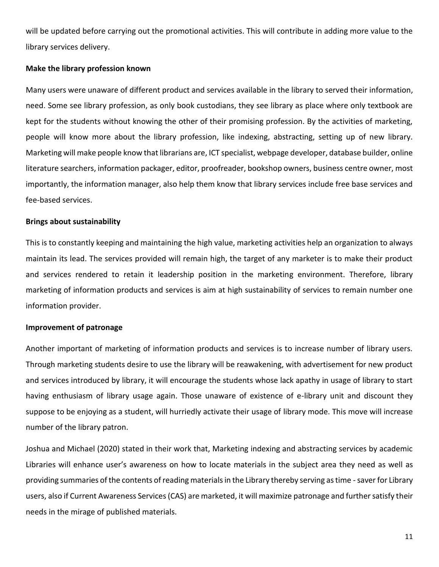will be updated before carrying out the promotional activities. This will contribute in adding more value to the library services delivery.

#### **Make the library profession known**

Many users were unaware of different product and services available in the library to served their information, need. Some see library profession, as only book custodians, they see library as place where only textbook are kept for the students without knowing the other of their promising profession. By the activities of marketing, people will know more about the library profession, like indexing, abstracting, setting up of new library. Marketing will make people know that librarians are, ICT specialist, webpage developer, database builder, online literature searchers, information packager, editor, proofreader, bookshop owners, business centre owner, most importantly, the information manager, also help them know that library services include free base services and fee-based services.

#### **Brings about sustainability**

This is to constantly keeping and maintaining the high value, marketing activities help an organization to always maintain its lead. The services provided will remain high, the target of any marketer is to make their product and services rendered to retain it leadership position in the marketing environment. Therefore, library marketing of information products and services is aim at high sustainability of services to remain number one information provider.

#### **Improvement of patronage**

Another important of marketing of information products and services is to increase number of library users. Through marketing students desire to use the library will be reawakening, with advertisement for new product and services introduced by library, it will encourage the students whose lack apathy in usage of library to start having enthusiasm of library usage again. Those unaware of existence of e-library unit and discount they suppose to be enjoying as a student, will hurriedly activate their usage of library mode. This move will increase number of the library patron.

Joshua and Michael (2020) stated in their work that, Marketing indexing and abstracting services by academic Libraries will enhance user's awareness on how to locate materials in the subject area they need as well as providing summaries of the contents of reading materials in the Library thereby serving as time -saver for Library users, also if Current Awareness Services (CAS) are marketed, it will maximize patronage and further satisfy their needs in the mirage of published materials.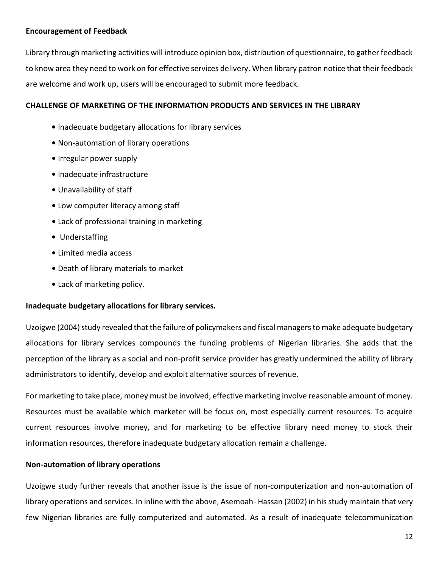# **Encouragement of Feedback**

Library through marketing activities will introduce opinion box, distribution of questionnaire, to gather feedback to know area they need to work on for effective services delivery. When library patron notice that their feedback are welcome and work up, users will be encouraged to submit more feedback.

# **CHALLENGE OF MARKETING OF THE INFORMATION PRODUCTS AND SERVICES IN THE LIBRARY**

- **•** Inadequate budgetary allocations for library services
- **•** Non-automation of library operations
- **•** Irregular power supply
- Inadequate infrastructure
- **•** Unavailability of staff
- Low computer literacy among staff
- Lack of professional training in marketing
- Understaffing
- Limited media access
- **•** Death of library materials to market
- Lack of marketing policy.

## **Inadequate budgetary allocations for library services.**

Uzoigwe (2004) study revealed that the failure of policymakers and fiscal managers to make adequate budgetary allocations for library services compounds the funding problems of Nigerian libraries. She adds that the perception of the library as a social and non-profit service provider has greatly undermined the ability of library administrators to identify, develop and exploit alternative sources of revenue.

For marketing to take place, money must be involved, effective marketing involve reasonable amount of money. Resources must be available which marketer will be focus on, most especially current resources. To acquire current resources involve money, and for marketing to be effective library need money to stock their information resources, therefore inadequate budgetary allocation remain a challenge.

# **Non-automation of library operations**

Uzoigwe study further reveals that another issue is the issue of non-computerization and non-automation of library operations and services. In inline with the above, Asemoah- Hassan (2002) in his study maintain that very few Nigerian libraries are fully computerized and automated. As a result of inadequate telecommunication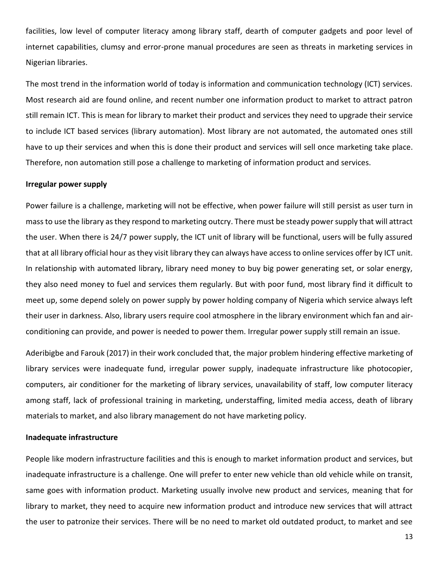facilities, low level of computer literacy among library staff, dearth of computer gadgets and poor level of internet capabilities, clumsy and error-prone manual procedures are seen as threats in marketing services in Nigerian libraries.

The most trend in the information world of today is information and communication technology (ICT) services. Most research aid are found online, and recent number one information product to market to attract patron still remain ICT. This is mean for library to market their product and services they need to upgrade their service to include ICT based services (library automation). Most library are not automated, the automated ones still have to up their services and when this is done their product and services will sell once marketing take place. Therefore, non automation still pose a challenge to marketing of information product and services.

#### **Irregular power supply**

Power failure is a challenge, marketing will not be effective, when power failure will still persist as user turn in mass to use the library as they respond to marketing outcry. There must be steady power supply that will attract the user. When there is 24/7 power supply, the ICT unit of library will be functional, users will be fully assured that at all library official hour as they visit library they can always have access to online services offer by ICT unit. In relationship with automated library, library need money to buy big power generating set, or solar energy, they also need money to fuel and services them regularly. But with poor fund, most library find it difficult to meet up, some depend solely on power supply by power holding company of Nigeria which service always left their user in darkness. Also, library users require cool atmosphere in the library environment which fan and airconditioning can provide, and power is needed to power them. Irregular power supply still remain an issue.

Aderibigbe and Farouk (2017) in their work concluded that, the major problem hindering effective marketing of library services were inadequate fund, irregular power supply, inadequate infrastructure like photocopier, computers, air conditioner for the marketing of library services, unavailability of staff, low computer literacy among staff, lack of professional training in marketing, understaffing, limited media access, death of library materials to market, and also library management do not have marketing policy.

#### **Inadequate infrastructure**

People like modern infrastructure facilities and this is enough to market information product and services, but inadequate infrastructure is a challenge. One will prefer to enter new vehicle than old vehicle while on transit, same goes with information product. Marketing usually involve new product and services, meaning that for library to market, they need to acquire new information product and introduce new services that will attract the user to patronize their services. There will be no need to market old outdated product, to market and see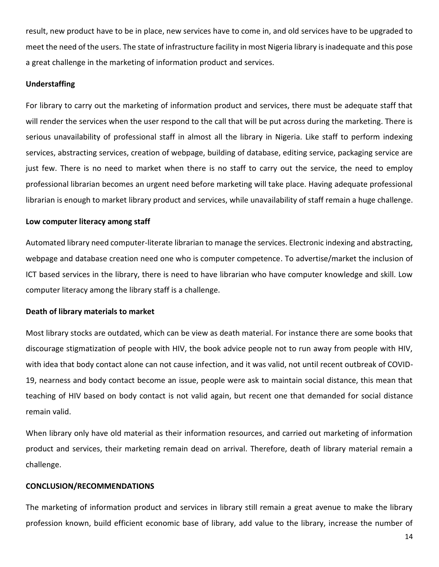result, new product have to be in place, new services have to come in, and old services have to be upgraded to meet the need of the users. The state of infrastructure facility in most Nigeria library is inadequate and this pose a great challenge in the marketing of information product and services.

#### **Understaffing**

For library to carry out the marketing of information product and services, there must be adequate staff that will render the services when the user respond to the call that will be put across during the marketing. There is serious unavailability of professional staff in almost all the library in Nigeria. Like staff to perform indexing services, abstracting services, creation of webpage, building of database, editing service, packaging service are just few. There is no need to market when there is no staff to carry out the service, the need to employ professional librarian becomes an urgent need before marketing will take place. Having adequate professional librarian is enough to market library product and services, while unavailability of staff remain a huge challenge.

#### **Low computer literacy among staff**

Automated library need computer-literate librarian to manage the services. Electronic indexing and abstracting, webpage and database creation need one who is computer competence. To advertise/market the inclusion of ICT based services in the library, there is need to have librarian who have computer knowledge and skill. Low computer literacy among the library staff is a challenge.

#### **Death of library materials to market**

Most library stocks are outdated, which can be view as death material. For instance there are some books that discourage stigmatization of people with HIV, the book advice people not to run away from people with HIV, with idea that body contact alone can not cause infection, and it was valid, not until recent outbreak of COVID-19, nearness and body contact become an issue, people were ask to maintain social distance, this mean that teaching of HIV based on body contact is not valid again, but recent one that demanded for social distance remain valid.

When library only have old material as their information resources, and carried out marketing of information product and services, their marketing remain dead on arrival. Therefore, death of library material remain a challenge.

#### **CONCLUSION/RECOMMENDATIONS**

The marketing of information product and services in library still remain a great avenue to make the library profession known, build efficient economic base of library, add value to the library, increase the number of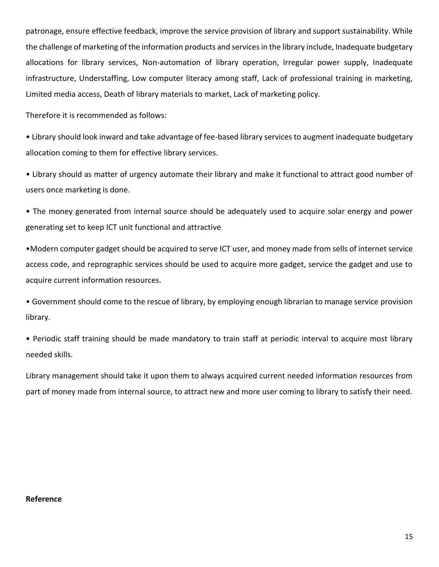patronage, ensure effective feedback, improve the service provision of library and support sustainability. While the challenge of marketing of the information products and services in the library include, Inadequate budgetary allocations for library services, Non-automation of library operation, Irregular power supply, Inadequate infrastructure, Understaffing, Low computer literacy among staff, Lack of professional training in marketing, Limited media access, Death of library materials to market, Lack of marketing policy.

Therefore it is recommended as follows:

• Library should look inward and take advantage of fee-based library services to augment inadequate budgetary allocation coming to them for effective library services.

• Library should as matter of urgency automate their library and make it functional to attract good number of users once marketing is done.

• The money generated from internal source should be adequately used to acquire solar energy and power generating set to keep ICT unit functional and attractive

•Modern computer gadget should be acquired to serve ICT user, and money made from sells of internet service access code, and reprographic services should be used to acquire more gadget, service the gadget and use to acquire current information resources.

• Government should come to the rescue of library, by employing enough librarian to manage service provision library.

• Periodic staff training should be made mandatory to train staff at periodic interval to acquire most library needed skills.

Library management should take it upon them to always acquired current needed information resources from part of money made from internal source, to attract new and more user coming to library to satisfy their need.

#### **Reference**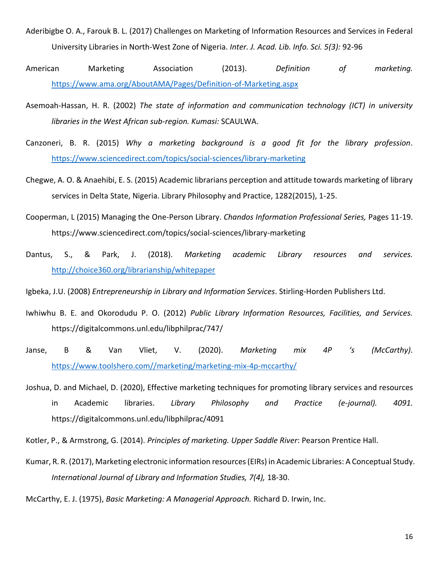- Aderibigbe O. A., Farouk B. L. (2017) Challenges on Marketing of Information Resources and Services in Federal University Libraries in North-West Zone of Nigeria. *Inter. J. Acad. Lib. Info. Sci. 5(3):* 92-96
- American Marketing Association (2013). *Definition of marketing.*  <https://www.ama.org/AboutAMA/Pages/Definition-of-Marketing.aspx>
- Asemoah-Hassan, H. R. (2002) *The state of information and communication technology (ICT) in university libraries in the West African sub-region. Kumasi:* SCAULWA.
- Canzoneri, B. R. (2015) *Why a marketing background is a good fit for the library profession*. <https://www.sciencedirect.com/topics/social-sciences/library-marketing>
- Chegwe, A. O. & Anaehibi, E. S. (2015) Academic librarians perception and attitude towards marketing of library services in Delta State, Nigeria. Library Philosophy and Practice, 1282(2015), 1-25.
- Cooperman, L (2015) Managing the One-Person Library. *Chandos Information Professional Series,* Pages 11-19. https://www.sciencedirect.com/topics/social-sciences/library-marketing
- Dantus, S., & Park, J. (2018). *Marketing academic Library resources and services.*  <http://choice360.org/librarianship/whitepaper>

Igbeka, J.U. (2008) *Entrepreneurship in Library and Information Services*. Stirling-Horden Publishers Ltd.

- Iwhiwhu B. E. and Okorodudu P. O. (2012) *Public Library Information Resources, Facilities, and Services.* https://digitalcommons.unl.edu/libphilprac/747/
- Janse, B & Van Vliet, V. (2020). *Marketing mix 4P 's (McCarthy)*. [https://www.toolshero.com//marketing/marketing-mix-4p-mccarthy/](https://www.toolshero.com/marketing/marketing-mix-4p-mccarthy/)
- Joshua, D. and Michael, D. (2020), Effective marketing techniques for promoting library services and resources in Academic libraries. *Library Philosophy and Practice (e-journal). 4091.* https://digitalcommons.unl.edu/libphilprac/4091

Kotler, P., & Armstrong, G. (2014). *Principles of marketing. Upper Saddle River*: Pearson Prentice Hall.

Kumar, R. R. (2017), Marketing electronic information resources (EIRs) in Academic Libraries: A Conceptual Study. *International Journal of Library and Information Studies, 7(4),* 18-30.

McCarthy, E. J. (1975), *Basic Marketing: A Managerial Approach.* Richard D. Irwin, Inc.